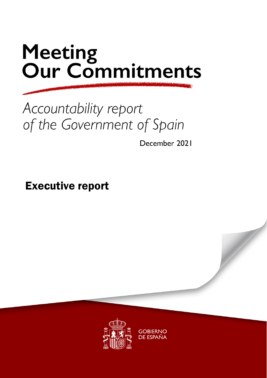# Meeting<br>Our Commitments

## Accountability report of the Government of Spain

December 2021

Executive report

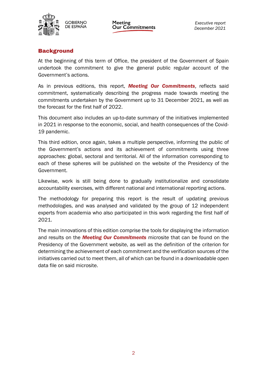

**Meeting** Our Commitments

### **Background**

At the beginning of this term of Office, the president of the Government of Spain undertook the commitment to give the general public regular account of the Government's actions.

As in previous editions, this report, *Meeting Our Commitments*, reflects said commitment, systematically describing the progress made towards meeting the commitments undertaken by the Government up to 31 December 2021, as well as the forecast for the first half of 2022.

This document also includes an up-to-date summary of the initiatives implemented in 2021 in response to the economic, social, and health consequences of the Covid-19 pandemic.

This third edition, once again, takes a multiple perspective, informing the public of the Government's actions and its achievement of commitments using three approaches: global, sectoral and territorial. All of the information corresponding to each of these spheres will be published on the website of the Presidency of the Government.

Likewise, work is still being done to gradually institutionalize and consolidate accountability exercises, with different national and international reporting actions.

The methodology for preparing this report is the result of updating previous methodologies, and was analysed and validated by the group of 12 independent experts from academia who also participated in this work regarding the first half of 2021.

The main innovations of this edition comprise the tools for displaying the information and results on the *Meeting Our Commitments* microsite that can be found on the Presidency of the Government website, as well as the definition of the criterion for determining the achievement of each commitment and the verification sources of the initiatives carried out to meet them, all of which can be found in a downloadable open data file on said microsite.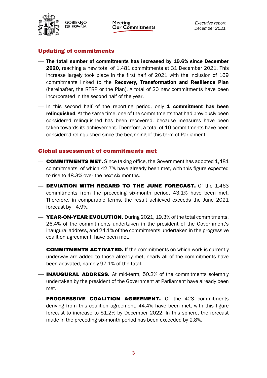

**Meeting Our Commitments** 

#### Updating of commitments

- The total number of commitments has increased by 19.6% since December 2020, reaching a new total of 1,481 commitments at 31 December 2021. This increase largely took place in the first half of 2021 with the inclusion of 169 commitments linked to the Recovery, Transformation and Resilience Plan (hereinafter, the RTRP or the Plan). A total of 20 new commitments have been incorporated in the second half of the year.
- $\overline{\phantom{a}}$  In this second half of the reporting period, only **1 commitment has been relinquished.** At the same time, one of the commitments that had previously been considered relinquished has been recovered, because measures have been taken towards its achievement. Therefore, a total of 10 commitments have been considered relinquished since the beginning of this term of Parliament.

#### Global assessment of commitments met

- **COMMITMENTS MET.** Since taking office, the Government has adopted 1,481 commitments, of which 42.7% have already been met, with this figure expected to rise to 48.3% over the next six months.
- DEVIATION WITH REGARD TO THE JUNE FORECAST. Of the 1,463 commitments from the preceding six-month period, 43.1% have been met. Therefore, in comparable terms, the result achieved exceeds the June 2021 forecast by +4.9%.
- **WEAR-ON-YEAR EVOLUTION.** During 2021, 19.3% of the total commitments, 26.4% of the commitments undertaken in the president of the Government's inaugural address, and 24.1% of the commitments undertaken in the progressive coalition agreement, have been met.
- **COMMITMENTS ACTIVATED.** If the commitments on which work is currently underway are added to those already met, nearly all of the commitments have been activated, namely 97.1% of the total.
- **INAUGURAL ADDRESS.** At mid-term, 50.2% of the commitments solemnly undertaken by the president of the Government at Parliament have already been met.
- **PROGRESSIVE COALITION AGREEMENT.** Of the 428 commitments deriving from this coalition agreement, 44.4% have been met, with this figure forecast to increase to 51.2% by December 2022. In this sphere, the forecast made in the preceding six-month period has been exceeded by 2.8%.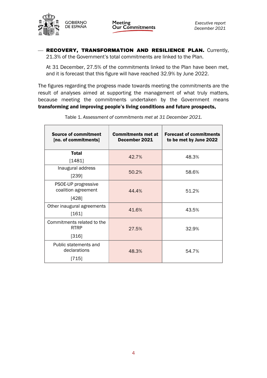

Meeting<br>Our Commitments

- RECOVERY, TRANSFORMATION AND RESILIENCE PLAN. Currently, 21.3% of the Government's total commitments are linked to the Plan.

At 31 December, 27.5% of the commitments linked to the Plan have been met, and it is forecast that this figure will have reached 32.9% by June 2022.

The figures regarding the progress made towards meeting the commitments are the result of analyses aimed at supporting the management of what truly matters, because meeting the commitments undertaken by the Government means transforming and improving people's living conditions and future prospects.

| <b>Source of commitment</b><br>[no. of commitments] | <b>Commitments met at</b><br>December 2021 | <b>Forecast of commitments</b><br>to be met by June 2022 |  |
|-----------------------------------------------------|--------------------------------------------|----------------------------------------------------------|--|
| <b>Total</b>                                        | 42.7%                                      | 48.3%                                                    |  |
| [1481]                                              |                                            |                                                          |  |
| Inaugural address                                   | 50.2%                                      | 58.6%                                                    |  |
| [239]                                               |                                            |                                                          |  |
| PSOE-UP progressive                                 |                                            |                                                          |  |
| coalition agreement                                 | 44.4%                                      | 51.2%                                                    |  |
| [428]                                               |                                            |                                                          |  |
| Other inaugural agreements                          | 41.6%                                      |                                                          |  |
| [161]                                               |                                            | 43.5%                                                    |  |
| Commitments related to the                          |                                            |                                                          |  |
| <b>RTRP</b>                                         | 27.5%                                      | 32.9%                                                    |  |
| [316]                                               |                                            |                                                          |  |
| Public statements and<br>declarations               | 48.3%                                      | 54.7%                                                    |  |
| [715]                                               |                                            |                                                          |  |

Table 1. *Assessment of* c*ommitments met at 31 December 2021.*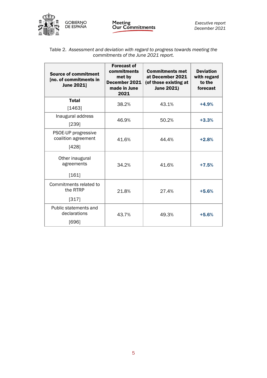

|                                      | Table 2. Assessment and deviation with regard to progress towards meeting the |  |  |  |
|--------------------------------------|-------------------------------------------------------------------------------|--|--|--|
| commitments of the June 2021 report. |                                                                               |  |  |  |

| <b>Source of commitment</b><br>[no. of commitments in<br><b>June 2021</b> | <b>Forecast of</b><br>commitments<br>met by<br>December 2021<br>made in June<br>2021 | <b>Commitments met</b><br>at December 2021<br>(of those existing at<br><b>June 2021)</b> | <b>Deviation</b><br>with regard<br>to the<br>forecast |
|---------------------------------------------------------------------------|--------------------------------------------------------------------------------------|------------------------------------------------------------------------------------------|-------------------------------------------------------|
| <b>Total</b><br>[1463]                                                    | 38.2%                                                                                | 43.1%                                                                                    | $+4.9%$                                               |
| Inaugural address<br>[239]                                                | 46.9%                                                                                | 50.2%                                                                                    | $+3.3%$                                               |
| PSOE-UP progressive<br>coalition agreement<br>[428]                       | 41.6%                                                                                | 44.4%                                                                                    | $+2.8%$                                               |
| Other inaugural<br>agreements<br>[161]                                    | 34.2%                                                                                | 41.6%                                                                                    | $+7.5%$                                               |
| Commitments related to<br>the RTRP<br>[317]                               | 21.8%                                                                                | 27.4%                                                                                    | $+5.6%$                                               |
| Public statements and<br>declarations<br>[696]                            | 43.7%                                                                                | 49.3%                                                                                    | $+5.6%$                                               |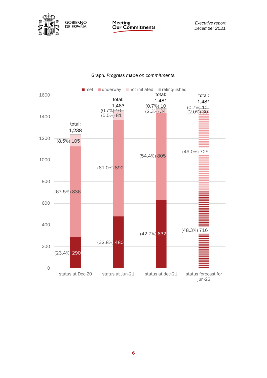

Meeting<br>Our Commitments

*Executive report December 2021*

#### Graph. *Progress made on commitments.*